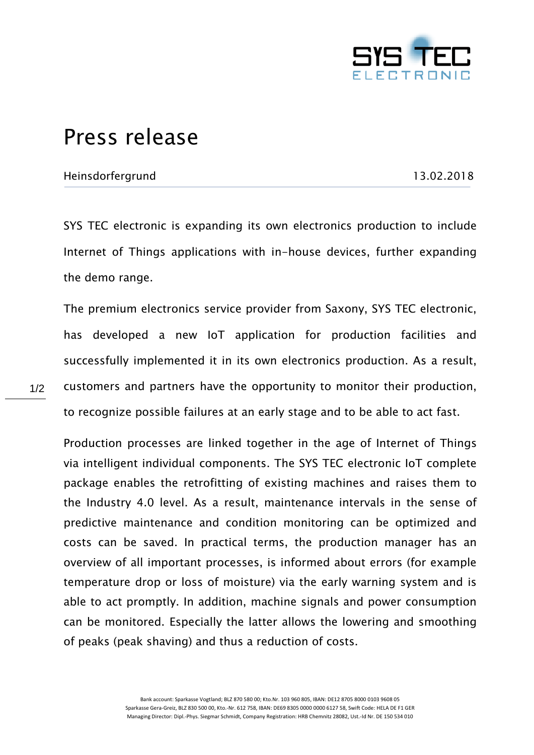

## Press release

## Heinsdorfergrund 13.02.2018

SYS TEC electronic is expanding its own electronics production to include Internet of Things applications with in-house devices, further expanding the demo range.

The premium electronics service provider from Saxony, SYS TEC electronic, has developed a new IoT application for production facilities and successfully implemented it in its own electronics production. As a result, customers and partners have the opportunity to monitor their production, to recognize possible failures at an early stage and to be able to act fast.

Production processes are linked together in the age of Internet of Things via intelligent individual components. The SYS TEC electronic IoT complete package enables the retrofitting of existing machines and raises them to the Industry 4.0 level. As a result, maintenance intervals in the sense of predictive maintenance and condition monitoring can be optimized and costs can be saved. In practical terms, the production manager has an overview of all important processes, is informed about errors (for example temperature drop or loss of moisture) via the early warning system and is able to act promptly. In addition, machine signals and power consumption can be monitored. Especially the latter allows the lowering and smoothing of peaks (peak shaving) and thus a reduction of costs.